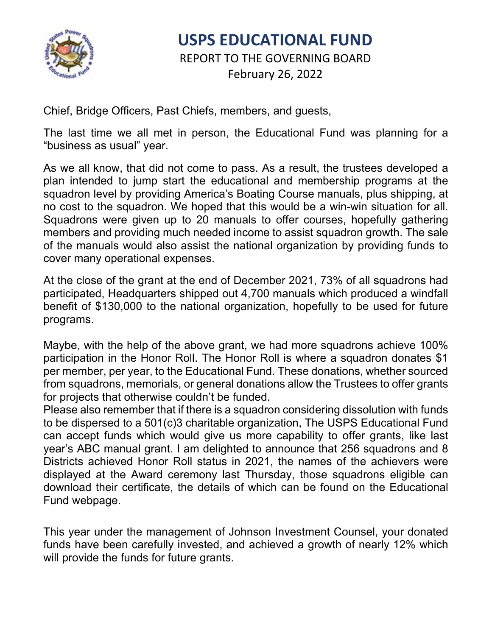

## **USPS EDUCATIONAL FUND**  REPORT TO THE GOVERNING BOARD February 26, 2022

Chief, Bridge Officers, Past Chiefs, members, and guests,

The last time we all met in person, the Educational Fund was planning for a "business as usual" year.

As we all know, that did not come to pass. As a result, the trustees developed a plan intended to jump start the educational and membership programs at the squadron level by providing America's Boating Course manuals, plus shipping, at no cost to the squadron. We hoped that this would be a win-win situation for all. Squadrons were given up to 20 manuals to offer courses, hopefully gathering members and providing much needed income to assist squadron growth. The sale of the manuals would also assist the national organization by providing funds to cover many operational expenses.

At the close of the grant at the end of December 2021, 73% of all squadrons had participated, Headquarters shipped out 4,700 manuals which produced a windfall benefit of \$130,000 to the national organization, hopefully to be used for future programs.

Maybe, with the help of the above grant, we had more squadrons achieve 100% participation in the Honor Roll. The Honor Roll is where a squadron donates \$1 per member, per year, to the Educational Fund. These donations, whether sourced from squadrons, memorials, or general donations allow the Trustees to offer grants for projects that otherwise couldn't be funded.

Please also remember that if there is a squadron considering dissolution with funds to be dispersed to a 501(c)3 charitable organization, The USPS Educational Fund can accept funds which would give us more capability to offer grants, like last year's ABC manual grant. I am delighted to announce that 256 squadrons and 8 Districts achieved Honor Roll status in 2021, the names of the achievers were displayed at the Award ceremony last Thursday, those squadrons eligible can download their certificate, the details of which can be found on the Educational Fund webpage.

This year under the management of Johnson Investment Counsel, your donated funds have been carefully invested, and achieved a growth of nearly 12% which will provide the funds for future grants.